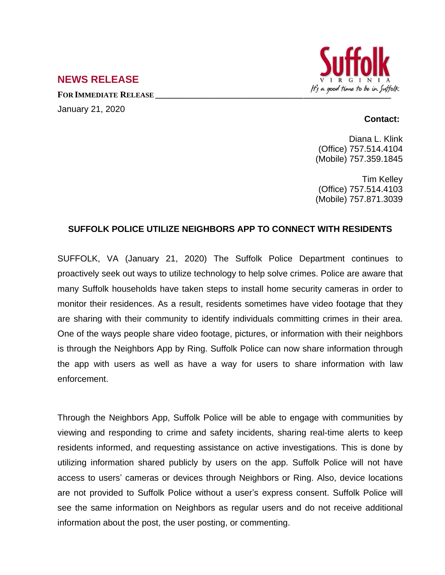

## **NEWS RELEASE**

January 21, 2020

## **Contact:**

Diana L. Klink (Office) 757.514.4104 (Mobile) 757.359.1845

Tim Kelley (Office) 757.514.4103 (Mobile) 757.871.3039

## **SUFFOLK POLICE UTILIZE NEIGHBORS APP TO CONNECT WITH RESIDENTS**

SUFFOLK, VA (January 21, 2020) The Suffolk Police Department continues to proactively seek out ways to utilize technology to help solve crimes. Police are aware that many Suffolk households have taken steps to install home security cameras in order to monitor their residences. As a result, residents sometimes have video footage that they are sharing with their community to identify individuals committing crimes in their area. One of the ways people share video footage, pictures, or information with their neighbors is through the Neighbors App by Ring. Suffolk Police can now share information through the app with users as well as have a way for users to share information with law enforcement.

Through the Neighbors App, Suffolk Police will be able to engage with communities by viewing and responding to crime and safety incidents, sharing real-time alerts to keep residents informed, and requesting assistance on active investigations. This is done by utilizing information shared publicly by users on the app. Suffolk Police will not have access to users' cameras or devices through Neighbors or Ring. Also, device locations are not provided to Suffolk Police without a user's express consent. Suffolk Police will see the same information on Neighbors as regular users and do not receive additional information about the post, the user posting, or commenting.